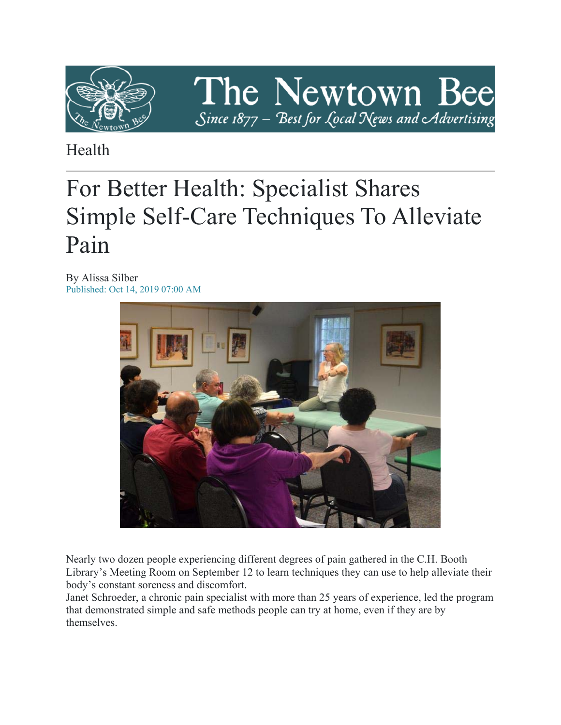

The Newtown Bee Since 1877 - Best for Local News and Advertising

Health

# For Better Health: Specialist Shares Simple Self-Care Techniques To Alleviate Pain

By Alissa Silber Published: Oct 14, 2019 07:00 AM



Nearly two dozen people experiencing different degrees of pain gathered in the C.H. Booth Library's Meeting Room on September 12 to learn techniques they can use to help alleviate their body's constant soreness and discomfort.

Janet Schroeder, a chronic pain specialist with more than 25 years of experience, led the program that demonstrated simple and safe methods people can try at home, even if they are by themselves.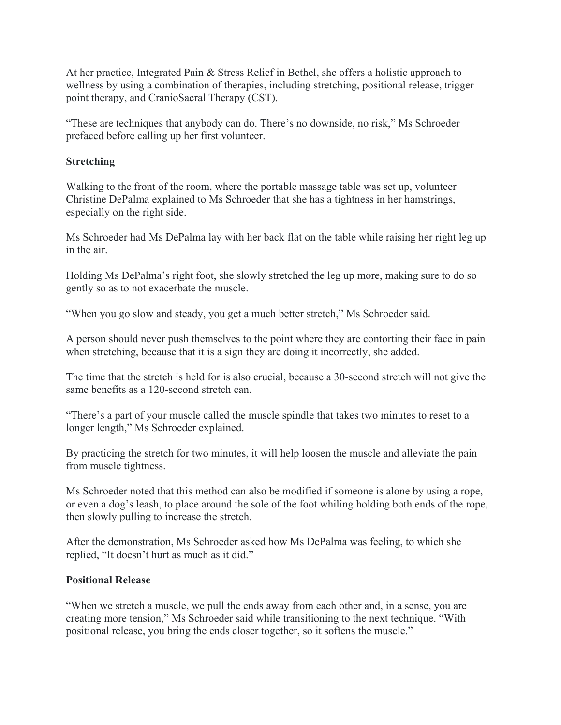At her practice, Integrated Pain & Stress Relief in Bethel, she offers a holistic approach to wellness by using a combination of therapies, including stretching, positional release, trigger point therapy, and CranioSacral Therapy (CST).

"These are techniques that anybody can do. There's no downside, no risk," Ms Schroeder prefaced before calling up her first volunteer.

### **Stretching**

Walking to the front of the room, where the portable massage table was set up, volunteer Christine DePalma explained to Ms Schroeder that she has a tightness in her hamstrings, especially on the right side.

Ms Schroeder had Ms DePalma lay with her back flat on the table while raising her right leg up in the air.

Holding Ms DePalma's right foot, she slowly stretched the leg up more, making sure to do so gently so as to not exacerbate the muscle.

"When you go slow and steady, you get a much better stretch," Ms Schroeder said.

A person should never push themselves to the point where they are contorting their face in pain when stretching, because that it is a sign they are doing it incorrectly, she added.

The time that the stretch is held for is also crucial, because a 30-second stretch will not give the same benefits as a 120-second stretch can.

"There's a part of your muscle called the muscle spindle that takes two minutes to reset to a longer length," Ms Schroeder explained.

By practicing the stretch for two minutes, it will help loosen the muscle and alleviate the pain from muscle tightness.

Ms Schroeder noted that this method can also be modified if someone is alone by using a rope, or even a dog's leash, to place around the sole of the foot whiling holding both ends of the rope, then slowly pulling to increase the stretch.

After the demonstration, Ms Schroeder asked how Ms DePalma was feeling, to which she replied, "It doesn't hurt as much as it did."

#### **Positional Release**

"When we stretch a muscle, we pull the ends away from each other and, in a sense, you are creating more tension," Ms Schroeder said while transitioning to the next technique. "With positional release, you bring the ends closer together, so it softens the muscle."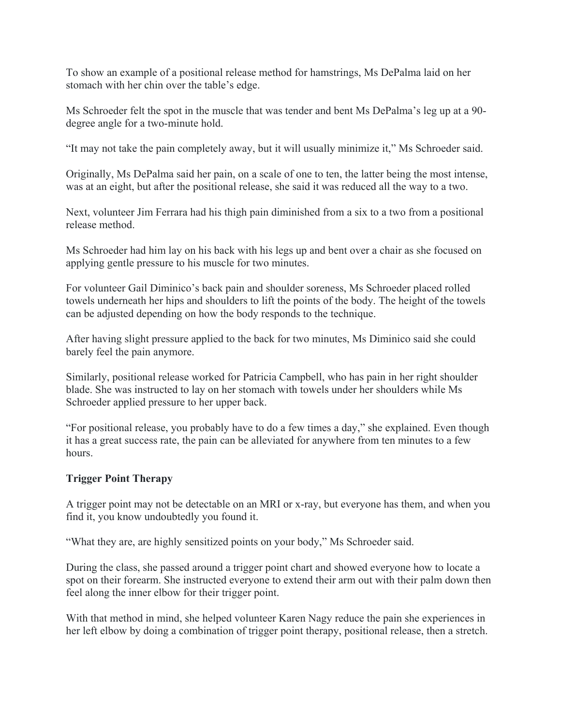To show an example of a positional release method for hamstrings, Ms DePalma laid on her stomach with her chin over the table's edge.

Ms Schroeder felt the spot in the muscle that was tender and bent Ms DePalma's leg up at a 90 degree angle for a two-minute hold.

"It may not take the pain completely away, but it will usually minimize it," Ms Schroeder said.

Originally, Ms DePalma said her pain, on a scale of one to ten, the latter being the most intense, was at an eight, but after the positional release, she said it was reduced all the way to a two.

Next, volunteer Jim Ferrara had his thigh pain diminished from a six to a two from a positional release method.

Ms Schroeder had him lay on his back with his legs up and bent over a chair as she focused on applying gentle pressure to his muscle for two minutes.

For volunteer Gail Diminico's back pain and shoulder soreness, Ms Schroeder placed rolled towels underneath her hips and shoulders to lift the points of the body. The height of the towels can be adjusted depending on how the body responds to the technique.

After having slight pressure applied to the back for two minutes, Ms Diminico said she could barely feel the pain anymore.

Similarly, positional release worked for Patricia Campbell, who has pain in her right shoulder blade. She was instructed to lay on her stomach with towels under her shoulders while Ms Schroeder applied pressure to her upper back.

"For positional release, you probably have to do a few times a day," she explained. Even though it has a great success rate, the pain can be alleviated for anywhere from ten minutes to a few hours.

# **Trigger Point Therapy**

A trigger point may not be detectable on an MRI or x-ray, but everyone has them, and when you find it, you know undoubtedly you found it.

"What they are, are highly sensitized points on your body," Ms Schroeder said.

During the class, she passed around a trigger point chart and showed everyone how to locate a spot on their forearm. She instructed everyone to extend their arm out with their palm down then feel along the inner elbow for their trigger point.

With that method in mind, she helped volunteer Karen Nagy reduce the pain she experiences in her left elbow by doing a combination of trigger point therapy, positional release, then a stretch.